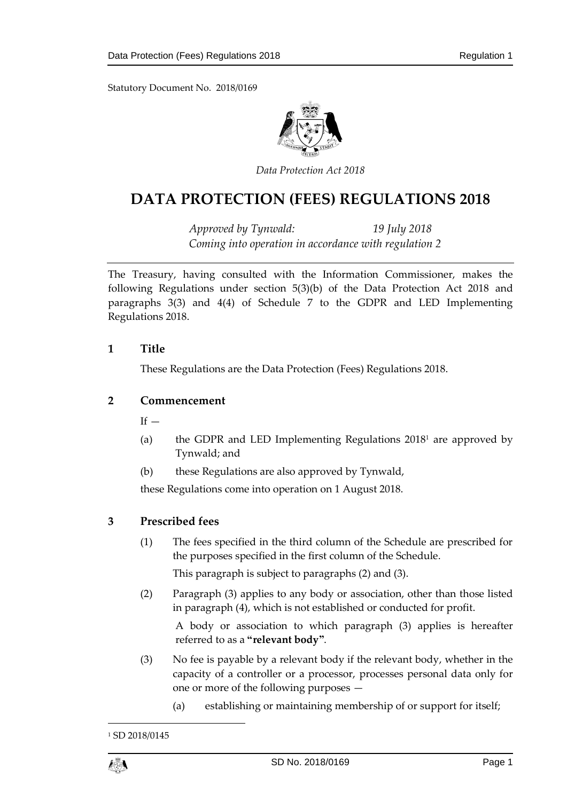

*Data Protection Act 2018*

# **DATA PROTECTION (FEES) REGULATIONS 2018**

*Approved by Tynwald: 19 July 2018 Coming into operation in accordance with regulation 2*

The Treasury, having consulted with the Information Commissioner, makes the following Regulations under section 5(3)(b) of the Data Protection Act 2018 and paragraphs 3(3) and 4(4) of Schedule 7 to the GDPR and LED Implementing Regulations 2018.

### **1 Title**

These Regulations are the Data Protection (Fees) Regulations 2018.

## **2 Commencement**

 $If -$ 

- (a) the GDPR and LED Implementing Regulations 2018<sup>1</sup> are approved by Tynwald; and
- (b) these Regulations are also approved by Tynwald,

these Regulations come into operation on 1 August 2018.

#### **3 Prescribed fees**

(1) The fees specified in the third column of the Schedule are prescribed for the purposes specified in the first column of the Schedule.

This paragraph is subject to paragraphs (2) and (3).

(2) Paragraph (3) applies to any body or association, other than those listed in paragraph (4), which is not established or conducted for profit.

A body or association to which paragraph (3) applies is hereafter referred to as a **"relevant body"**.

- (3) No fee is payable by a relevant body if the relevant body, whether in the capacity of a controller or a processor, processes personal data only for one or more of the following purposes —
	- (a) establishing or maintaining membership of or support for itself;

<sup>&</sup>lt;sup>1</sup> SD 2018/0145



1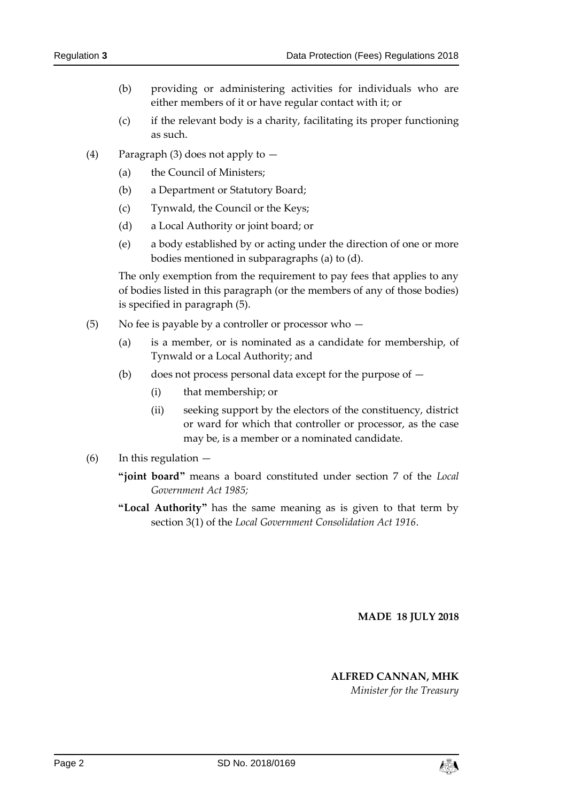- (b) providing or administering activities for individuals who are either members of it or have regular contact with it; or
- (c) if the relevant body is a charity, facilitating its proper functioning as such.
- (4) Paragraph (3) does not apply to  $-$ 
	- (a) the Council of Ministers;
	- (b) a Department or Statutory Board;
	- (c) Tynwald, the Council or the Keys;
	- (d) a Local Authority or joint board; or
	- (e) a body established by or acting under the direction of one or more bodies mentioned in subparagraphs (a) to (d).

The only exemption from the requirement to pay fees that applies to any of bodies listed in this paragraph (or the members of any of those bodies) is specified in paragraph (5).

- (5) No fee is payable by a controller or processor who
	- (a) is a member, or is nominated as a candidate for membership, of Tynwald or a Local Authority; and
	- (b) does not process personal data except for the purpose of
		- (i) that membership; or
		- (ii) seeking support by the electors of the constituency, district or ward for which that controller or processor, as the case may be, is a member or a nominated candidate.
- (6) In this regulation
	- **"joint board"** means a board constituted under section 7 of the *Local Government Act 1985;*
	- **"Local Authority"** has the same meaning as is given to that term by section 3(1) of the *Local Government Consolidation Act 1916*.

**MADE 18 JULY 2018**

#### **ALFRED CANNAN, MHK**

*Minister for the Treasury*

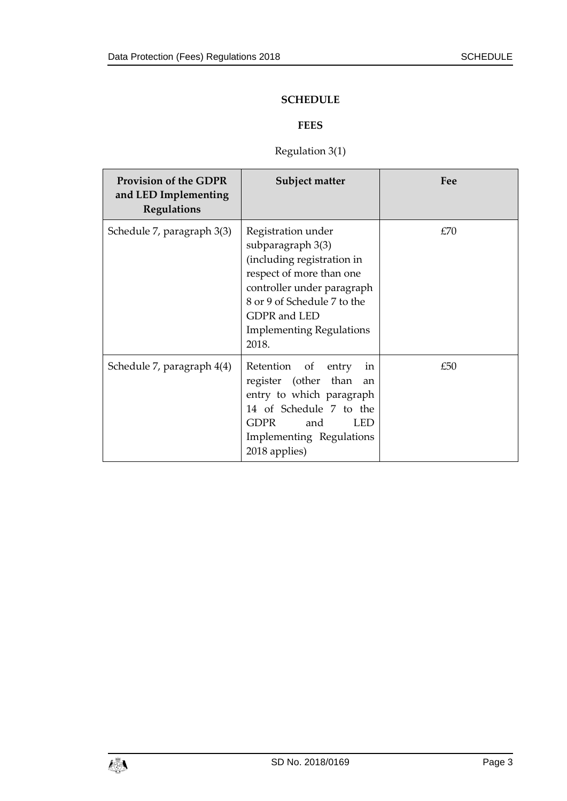## **SCHEDULE**

# **FEES**

# Regulation 3(1)

| <b>Provision of the GDPR</b><br>and LED Implementing<br>Regulations | Subject matter                                                                                                                                                                                                             | Fee |
|---------------------------------------------------------------------|----------------------------------------------------------------------------------------------------------------------------------------------------------------------------------------------------------------------------|-----|
| Schedule 7, paragraph 3(3)                                          | Registration under<br>subparagraph 3(3)<br>(including registration in<br>respect of more than one<br>controller under paragraph<br>8 or 9 of Schedule 7 to the<br>GDPR and LED<br><b>Implementing Regulations</b><br>2018. | £70 |
| Schedule 7, paragraph 4(4)                                          | Retention of entry<br>1n<br>register (other than<br>an<br>entry to which paragraph<br>14 of Schedule 7 to the<br>GDPR<br>and<br>LED <sup>1</sup><br>Implementing Regulations<br>2018 applies)                              | £50 |